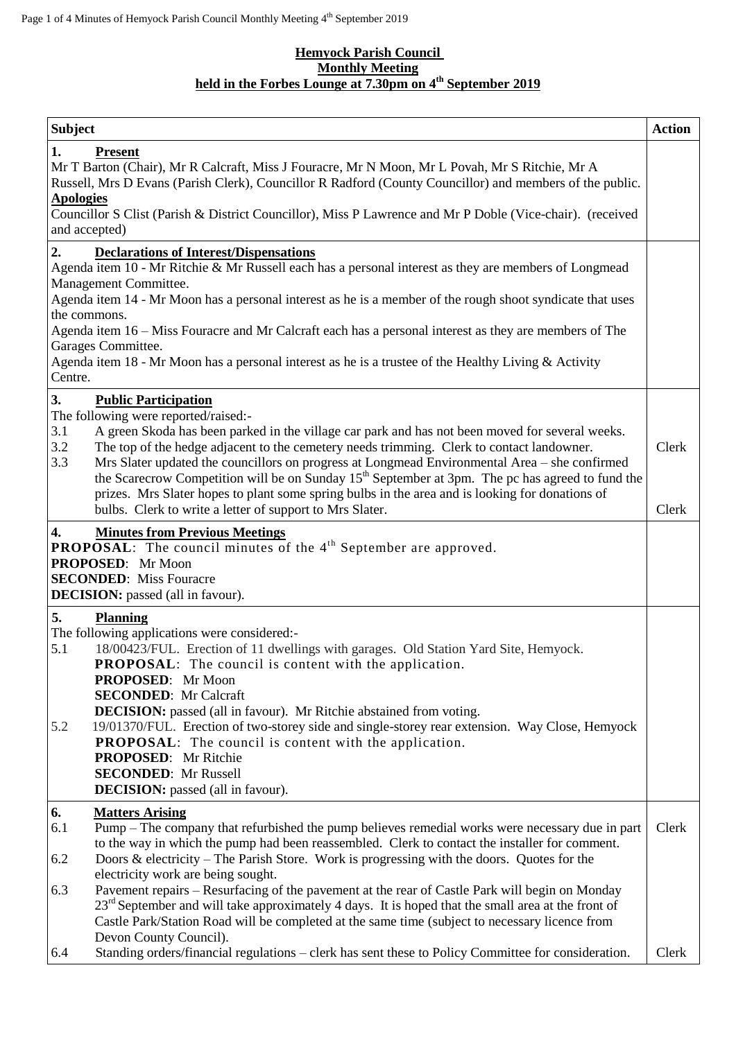## **Hemyock Parish Council Monthly Meeting held in the Forbes Lounge at 7.30pm on 4 th September 2019**

| <b>Subject</b>                          |                                                                                                                                                                                                                                                                                                                                                                                                                                                                                                                                                                                                                                                                                                       | <b>Action</b>  |
|-----------------------------------------|-------------------------------------------------------------------------------------------------------------------------------------------------------------------------------------------------------------------------------------------------------------------------------------------------------------------------------------------------------------------------------------------------------------------------------------------------------------------------------------------------------------------------------------------------------------------------------------------------------------------------------------------------------------------------------------------------------|----------------|
| 1.<br><b>Apologies</b><br>and accepted) | <b>Present</b><br>Mr T Barton (Chair), Mr R Calcraft, Miss J Fouracre, Mr N Moon, Mr L Povah, Mr S Ritchie, Mr A<br>Russell, Mrs D Evans (Parish Clerk), Councillor R Radford (County Councillor) and members of the public.<br>Councillor S Clist (Parish & District Councillor), Miss P Lawrence and Mr P Doble (Vice-chair). (received                                                                                                                                                                                                                                                                                                                                                             |                |
| 2.                                      | <b>Declarations of Interest/Dispensations</b>                                                                                                                                                                                                                                                                                                                                                                                                                                                                                                                                                                                                                                                         |                |
| the commons.<br>Garages Committee.      | Agenda item 10 - Mr Ritchie & Mr Russell each has a personal interest as they are members of Longmead<br>Management Committee.<br>Agenda item 14 - Mr Moon has a personal interest as he is a member of the rough shoot syndicate that uses<br>Agenda item 16 – Miss Fouracre and Mr Calcraft each has a personal interest as they are members of The                                                                                                                                                                                                                                                                                                                                                 |                |
| Centre.                                 | Agenda item 18 - Mr Moon has a personal interest as he is a trustee of the Healthy Living & Activity                                                                                                                                                                                                                                                                                                                                                                                                                                                                                                                                                                                                  |                |
| 3.<br>3.1<br>3.2<br>3.3                 | <b>Public Participation</b><br>The following were reported/raised:-<br>A green Skoda has been parked in the village car park and has not been moved for several weeks.<br>The top of the hedge adjacent to the cemetery needs trimming. Clerk to contact landowner.<br>Mrs Slater updated the councillors on progress at Longmead Environmental Area - she confirmed<br>the Scarecrow Competition will be on Sunday 15 <sup>th</sup> September at 3pm. The pc has agreed to fund the<br>prizes. Mrs Slater hopes to plant some spring bulbs in the area and is looking for donations of<br>bulbs. Clerk to write a letter of support to Mrs Slater.                                                   | Clerk<br>Clerk |
| 4.                                      | <b>Minutes from Previous Meetings</b>                                                                                                                                                                                                                                                                                                                                                                                                                                                                                                                                                                                                                                                                 |                |
|                                         | <b>PROPOSAL:</b> The council minutes of the $4th$ September are approved.<br>PROPOSED: Mr Moon<br><b>SECONDED:</b> Miss Fouracre<br><b>DECISION:</b> passed (all in favour).                                                                                                                                                                                                                                                                                                                                                                                                                                                                                                                          |                |
| 5.<br>5.1<br>5.2                        | <b>Planning</b><br>The following applications were considered:-<br>18/00423/FUL. Erection of 11 dwellings with garages. Old Station Yard Site, Hemyock.<br>PROPOSAL: The council is content with the application.<br>PROPOSED: Mr Moon<br><b>SECONDED:</b> Mr Calcraft<br><b>DECISION:</b> passed (all in favour). Mr Ritchie abstained from voting.<br>19/01370/FUL. Erection of two-storey side and single-storey rear extension. Way Close, Hemyock<br><b>PROPOSAL:</b> The council is content with the application.<br><b>PROPOSED:</b> Mr Ritchie<br><b>SECONDED:</b> Mr Russell<br><b>DECISION:</b> passed (all in favour).                                                                     |                |
| 6.<br>6.1<br>6.2<br>6.3                 | <b>Matters Arising</b><br>Pump – The company that refurbished the pump believes remedial works were necessary due in part<br>to the way in which the pump had been reassembled. Clerk to contact the installer for comment.<br>Doors & electricity – The Parish Store. Work is progressing with the doors. Quotes for the<br>electricity work are being sought.<br>Pavement repairs - Resurfacing of the pavement at the rear of Castle Park will begin on Monday<br>$23rd$ September and will take approximately 4 days. It is hoped that the small area at the front of<br>Castle Park/Station Road will be completed at the same time (subject to necessary licence from<br>Devon County Council). | Clerk          |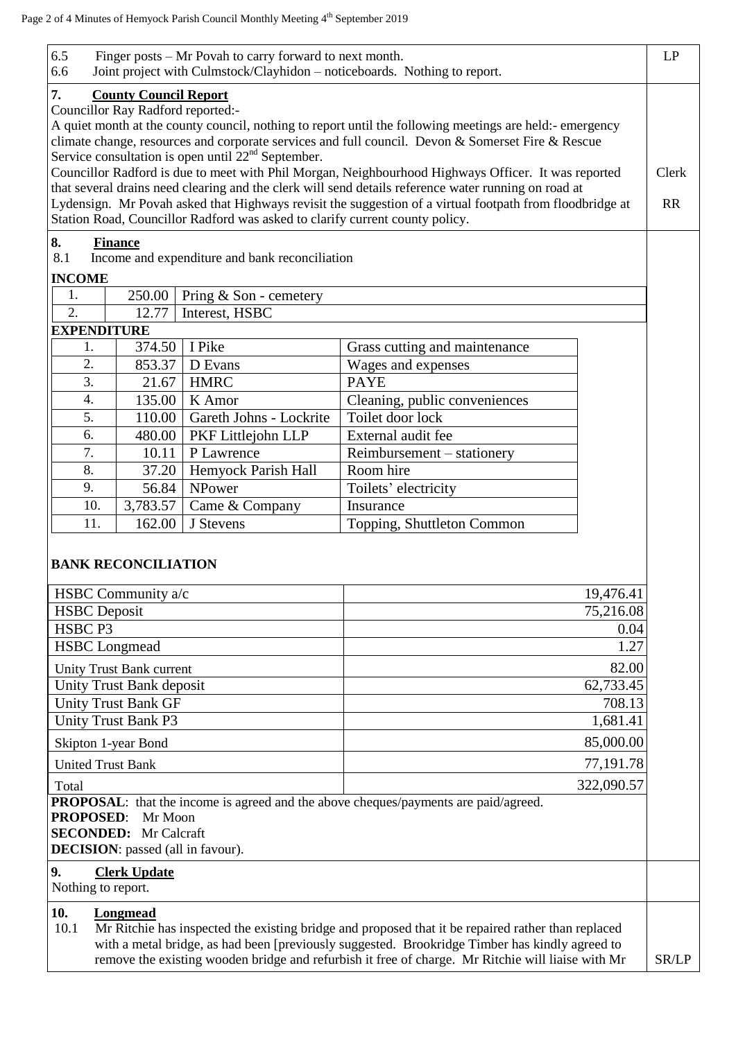| 6.5<br>6.6                                                                                                                                                                                                       | Finger posts – Mr Povah to carry forward to next month.<br>Joint project with Culmstock/Clayhidon - noticeboards. Nothing to report. |                         |                                                                                                                                                                                                                                                                                                           |       |  |  |  |
|------------------------------------------------------------------------------------------------------------------------------------------------------------------------------------------------------------------|--------------------------------------------------------------------------------------------------------------------------------------|-------------------------|-----------------------------------------------------------------------------------------------------------------------------------------------------------------------------------------------------------------------------------------------------------------------------------------------------------|-------|--|--|--|
| 7.                                                                                                                                                                                                               | <b>County Council Report</b><br>Councillor Ray Radford reported:-                                                                    |                         |                                                                                                                                                                                                                                                                                                           |       |  |  |  |
|                                                                                                                                                                                                                  |                                                                                                                                      |                         | A quiet month at the county council, nothing to report until the following meetings are held:- emergency                                                                                                                                                                                                  |       |  |  |  |
|                                                                                                                                                                                                                  | climate change, resources and corporate services and full council. Devon & Somerset Fire & Rescue                                    |                         |                                                                                                                                                                                                                                                                                                           |       |  |  |  |
|                                                                                                                                                                                                                  | Service consultation is open until $22nd$ September.                                                                                 |                         |                                                                                                                                                                                                                                                                                                           |       |  |  |  |
|                                                                                                                                                                                                                  | Councillor Radford is due to meet with Phil Morgan, Neighbourhood Highways Officer. It was reported                                  |                         |                                                                                                                                                                                                                                                                                                           |       |  |  |  |
| that several drains need clearing and the clerk will send details reference water running on road at<br>Lydensign. Mr Povah asked that Highways revisit the suggestion of a virtual footpath from floodbridge at |                                                                                                                                      |                         |                                                                                                                                                                                                                                                                                                           |       |  |  |  |
| Station Road, Councillor Radford was asked to clarify current county policy.                                                                                                                                     |                                                                                                                                      |                         |                                                                                                                                                                                                                                                                                                           |       |  |  |  |
| 8.                                                                                                                                                                                                               |                                                                                                                                      |                         |                                                                                                                                                                                                                                                                                                           |       |  |  |  |
| 8.1                                                                                                                                                                                                              | <b>Finance</b><br>Income and expenditure and bank reconciliation                                                                     |                         |                                                                                                                                                                                                                                                                                                           |       |  |  |  |
| <b>INCOME</b>                                                                                                                                                                                                    |                                                                                                                                      |                         |                                                                                                                                                                                                                                                                                                           |       |  |  |  |
| 1.                                                                                                                                                                                                               | 250.00                                                                                                                               | Pring & Son - cemetery  |                                                                                                                                                                                                                                                                                                           |       |  |  |  |
| 2.                                                                                                                                                                                                               | 12.77                                                                                                                                | Interest, HSBC          |                                                                                                                                                                                                                                                                                                           |       |  |  |  |
| <b>EXPENDITURE</b>                                                                                                                                                                                               |                                                                                                                                      |                         |                                                                                                                                                                                                                                                                                                           |       |  |  |  |
| 1.                                                                                                                                                                                                               | 374.50                                                                                                                               | I Pike                  | Grass cutting and maintenance                                                                                                                                                                                                                                                                             |       |  |  |  |
| 2.                                                                                                                                                                                                               | 853.37                                                                                                                               | D Evans                 | Wages and expenses                                                                                                                                                                                                                                                                                        |       |  |  |  |
| 3.                                                                                                                                                                                                               | 21.67                                                                                                                                | <b>HMRC</b>             | <b>PAYE</b>                                                                                                                                                                                                                                                                                               |       |  |  |  |
| 4.                                                                                                                                                                                                               | 135.00                                                                                                                               | K Amor                  | Cleaning, public conveniences                                                                                                                                                                                                                                                                             |       |  |  |  |
| 5.                                                                                                                                                                                                               | 110.00                                                                                                                               | Gareth Johns - Lockrite | Toilet door lock                                                                                                                                                                                                                                                                                          |       |  |  |  |
| 6.                                                                                                                                                                                                               | 480.00                                                                                                                               | PKF Littlejohn LLP      | External audit fee                                                                                                                                                                                                                                                                                        |       |  |  |  |
| 7.                                                                                                                                                                                                               | 10.11                                                                                                                                | P Lawrence              | Reimbursement – stationery                                                                                                                                                                                                                                                                                |       |  |  |  |
| 8.                                                                                                                                                                                                               | 37.20                                                                                                                                | Hemyock Parish Hall     | Room hire                                                                                                                                                                                                                                                                                                 |       |  |  |  |
| 9.                                                                                                                                                                                                               | 56.84                                                                                                                                | NPower                  | Toilets' electricity                                                                                                                                                                                                                                                                                      |       |  |  |  |
| 10.                                                                                                                                                                                                              | 3,783.57                                                                                                                             | Came & Company          | Insurance                                                                                                                                                                                                                                                                                                 |       |  |  |  |
| 11.                                                                                                                                                                                                              | 162.00                                                                                                                               | J Stevens               | Topping, Shuttleton Common                                                                                                                                                                                                                                                                                |       |  |  |  |
|                                                                                                                                                                                                                  | <b>BANK RECONCILIATION</b>                                                                                                           |                         |                                                                                                                                                                                                                                                                                                           |       |  |  |  |
|                                                                                                                                                                                                                  | HSBC Community a/c                                                                                                                   |                         | 19,476.41                                                                                                                                                                                                                                                                                                 |       |  |  |  |
| <b>HSBC</b> Deposit                                                                                                                                                                                              |                                                                                                                                      |                         | 75,216.08                                                                                                                                                                                                                                                                                                 |       |  |  |  |
| HSBC <sub>P3</sub>                                                                                                                                                                                               |                                                                                                                                      |                         | 0.04                                                                                                                                                                                                                                                                                                      |       |  |  |  |
| <b>HSBC</b> Longmead                                                                                                                                                                                             |                                                                                                                                      |                         | 1.27                                                                                                                                                                                                                                                                                                      |       |  |  |  |
| Unity Trust Bank current                                                                                                                                                                                         |                                                                                                                                      |                         | 82.00                                                                                                                                                                                                                                                                                                     |       |  |  |  |
| Unity Trust Bank deposit                                                                                                                                                                                         |                                                                                                                                      |                         | $\overline{62,733.45}$                                                                                                                                                                                                                                                                                    |       |  |  |  |
| <b>Unity Trust Bank GF</b>                                                                                                                                                                                       |                                                                                                                                      |                         | 708.13                                                                                                                                                                                                                                                                                                    |       |  |  |  |
| <b>Unity Trust Bank P3</b>                                                                                                                                                                                       |                                                                                                                                      |                         | 1,681.41                                                                                                                                                                                                                                                                                                  |       |  |  |  |
| Skipton 1-year Bond                                                                                                                                                                                              |                                                                                                                                      |                         | 85,000.00                                                                                                                                                                                                                                                                                                 |       |  |  |  |
| <b>United Trust Bank</b>                                                                                                                                                                                         |                                                                                                                                      |                         | 77,191.78                                                                                                                                                                                                                                                                                                 |       |  |  |  |
| Total                                                                                                                                                                                                            |                                                                                                                                      |                         | 322,090.57                                                                                                                                                                                                                                                                                                |       |  |  |  |
|                                                                                                                                                                                                                  |                                                                                                                                      |                         | <b>PROPOSAL:</b> that the income is agreed and the above cheques/payments are paid/agreed.                                                                                                                                                                                                                |       |  |  |  |
|                                                                                                                                                                                                                  | PROPOSED: Mr Moon                                                                                                                    |                         |                                                                                                                                                                                                                                                                                                           |       |  |  |  |
|                                                                                                                                                                                                                  | <b>SECONDED:</b> Mr Calcraft                                                                                                         |                         |                                                                                                                                                                                                                                                                                                           |       |  |  |  |
|                                                                                                                                                                                                                  | <b>DECISION</b> : passed (all in favour).                                                                                            |                         |                                                                                                                                                                                                                                                                                                           |       |  |  |  |
| 9.<br>Nothing to report.                                                                                                                                                                                         | <b>Clerk Update</b>                                                                                                                  |                         |                                                                                                                                                                                                                                                                                                           |       |  |  |  |
| 10.<br>10.1                                                                                                                                                                                                      | Longmead                                                                                                                             |                         | Mr Ritchie has inspected the existing bridge and proposed that it be repaired rather than replaced<br>with a metal bridge, as had been [previously suggested. Brookridge Timber has kindly agreed to<br>remove the existing wooden bridge and refurbish it free of charge. Mr Ritchie will liaise with Mr | SR/LP |  |  |  |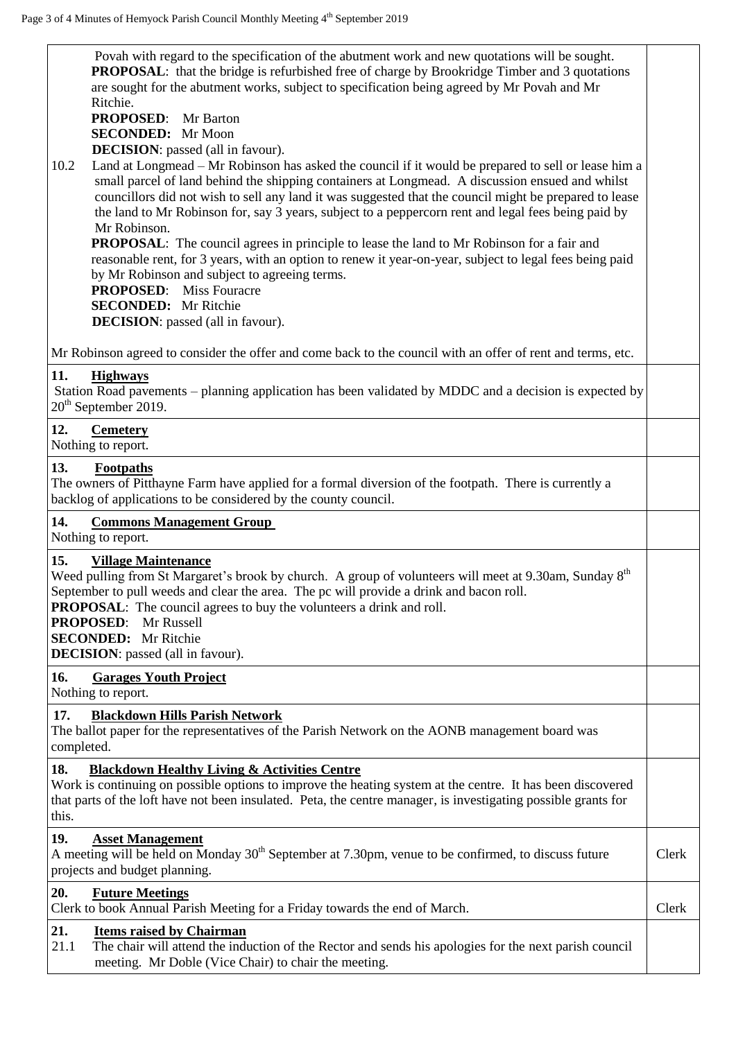| <b>PROPOSAL:</b> that the bridge is refurbished free of charge by Brookridge Timber and 3 quotations<br>are sought for the abutment works, subject to specification being agreed by Mr Povah and Mr<br>Ritchie.<br><b>PROPOSED:</b> Mr Barton<br><b>SECONDED:</b> Mr Moon<br><b>DECISION</b> : passed (all in favour).<br>Land at Longmead – Mr Robinson has asked the council if it would be prepared to sell or lease him a<br>10.2<br>small parcel of land behind the shipping containers at Longmead. A discussion ensued and whilst<br>councillors did not wish to sell any land it was suggested that the council might be prepared to lease<br>the land to Mr Robinson for, say 3 years, subject to a peppercorn rent and legal fees being paid by<br>Mr Robinson.<br><b>PROPOSAL:</b> The council agrees in principle to lease the land to Mr Robinson for a fair and<br>reasonable rent, for 3 years, with an option to renew it year-on-year, subject to legal fees being paid<br>by Mr Robinson and subject to agreeing terms.<br><b>PROPOSED:</b> Miss Fouracre<br><b>SECONDED:</b> Mr Ritchie<br><b>DECISION</b> : passed (all in favour). | Povah with regard to the specification of the abutment work and new quotations will be sought. |
|---------------------------------------------------------------------------------------------------------------------------------------------------------------------------------------------------------------------------------------------------------------------------------------------------------------------------------------------------------------------------------------------------------------------------------------------------------------------------------------------------------------------------------------------------------------------------------------------------------------------------------------------------------------------------------------------------------------------------------------------------------------------------------------------------------------------------------------------------------------------------------------------------------------------------------------------------------------------------------------------------------------------------------------------------------------------------------------------------------------------------------------------------------|------------------------------------------------------------------------------------------------|
| Mr Robinson agreed to consider the offer and come back to the council with an offer of rent and terms, etc.                                                                                                                                                                                                                                                                                                                                                                                                                                                                                                                                                                                                                                                                                                                                                                                                                                                                                                                                                                                                                                             |                                                                                                |
| 11.<br><b>Highways</b><br>Station Road pavements – planning application has been validated by MDDC and a decision is expected by<br>$20th$ September 2019.                                                                                                                                                                                                                                                                                                                                                                                                                                                                                                                                                                                                                                                                                                                                                                                                                                                                                                                                                                                              |                                                                                                |
| 12.<br><b>Cemetery</b><br>Nothing to report.                                                                                                                                                                                                                                                                                                                                                                                                                                                                                                                                                                                                                                                                                                                                                                                                                                                                                                                                                                                                                                                                                                            |                                                                                                |
| 13.<br><b>Footpaths</b><br>The owners of Pitthayne Farm have applied for a formal diversion of the footpath. There is currently a<br>backlog of applications to be considered by the county council.                                                                                                                                                                                                                                                                                                                                                                                                                                                                                                                                                                                                                                                                                                                                                                                                                                                                                                                                                    |                                                                                                |
| 14.<br><b>Commons Management Group</b><br>Nothing to report.                                                                                                                                                                                                                                                                                                                                                                                                                                                                                                                                                                                                                                                                                                                                                                                                                                                                                                                                                                                                                                                                                            |                                                                                                |
|                                                                                                                                                                                                                                                                                                                                                                                                                                                                                                                                                                                                                                                                                                                                                                                                                                                                                                                                                                                                                                                                                                                                                         |                                                                                                |
| 15.<br><b>Village Maintenance</b><br>Weed pulling from St Margaret's brook by church. A group of volunteers will meet at 9.30am, Sunday 8 <sup>th</sup><br>September to pull weeds and clear the area. The pc will provide a drink and bacon roll.<br><b>PROPOSAL:</b> The council agrees to buy the volunteers a drink and roll.<br><b>PROPOSED:</b> Mr Russell<br><b>SECONDED:</b> Mr Ritchie<br><b>DECISION</b> : passed (all in favour).                                                                                                                                                                                                                                                                                                                                                                                                                                                                                                                                                                                                                                                                                                            |                                                                                                |
| 16.<br><b>Garages Youth Project</b><br>Nothing to report.                                                                                                                                                                                                                                                                                                                                                                                                                                                                                                                                                                                                                                                                                                                                                                                                                                                                                                                                                                                                                                                                                               |                                                                                                |
| 17.<br><b>Blackdown Hills Parish Network</b><br>The ballot paper for the representatives of the Parish Network on the AONB management board was<br>completed.                                                                                                                                                                                                                                                                                                                                                                                                                                                                                                                                                                                                                                                                                                                                                                                                                                                                                                                                                                                           |                                                                                                |
| 18.<br><b>Blackdown Healthy Living &amp; Activities Centre</b><br>Work is continuing on possible options to improve the heating system at the centre. It has been discovered<br>that parts of the loft have not been insulated. Peta, the centre manager, is investigating possible grants for<br>this.                                                                                                                                                                                                                                                                                                                                                                                                                                                                                                                                                                                                                                                                                                                                                                                                                                                 |                                                                                                |
| 19.<br><b>Asset Management</b><br>A meeting will be held on Monday $30th$ September at 7.30pm, venue to be confirmed, to discuss future<br>projects and budget planning.                                                                                                                                                                                                                                                                                                                                                                                                                                                                                                                                                                                                                                                                                                                                                                                                                                                                                                                                                                                | Clerk                                                                                          |
| 20.<br><b>Future Meetings</b><br>Clerk to book Annual Parish Meeting for a Friday towards the end of March.                                                                                                                                                                                                                                                                                                                                                                                                                                                                                                                                                                                                                                                                                                                                                                                                                                                                                                                                                                                                                                             | Clerk                                                                                          |